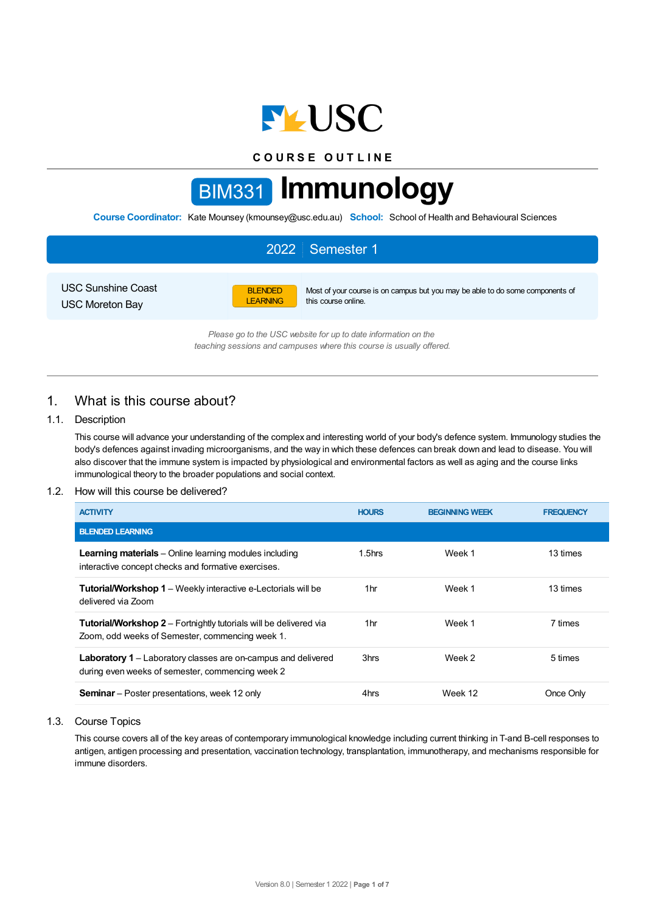

**C O U R S E O U T L I N E**

# BIM331 **Immunology**

**Course Coordinator:** Kate Mounsey (kmounsey@usc.edu.au) **School:** School of Health and Behavioural Sciences

|                                                     | 2022 Semester 1                                                                                                                           |  |
|-----------------------------------------------------|-------------------------------------------------------------------------------------------------------------------------------------------|--|
| <b>USC Sunshine Coast</b><br><b>USC Moreton Bay</b> | <b>BLENDED</b><br>Most of your course is on campus but you may be able to do some components of<br>this course online.<br><b>LEARNING</b> |  |

*Please go to the USC website for up to date information on the teaching sessions and campuses where this course is usually offered.*

# 1. What is this course about?

# 1.1. Description

This course will advance your understanding of the complex and interesting world of your body's defence system. Immunology studies the body's defences against invading microorganisms, and the way in which these defences can break down and lead to disease. You will also discover that the immune system is impacted by physiological and environmental factors as well as aging and the course links immunological theory to the broader populations and social context.

# 1.2. How will this course be delivered?

| <b>ACTIVITY</b>                                                                                                             | <b>HOURS</b> | <b>BEGINNING WEEK</b> | <b>FREQUENCY</b> |
|-----------------------------------------------------------------------------------------------------------------------------|--------------|-----------------------|------------------|
| <b>BLENDED LEARNING</b>                                                                                                     |              |                       |                  |
| <b>Learning materials</b> – Online learning modules including<br>interactive concept checks and formative exercises.        | $1.5$ hrs    | Week 1                | 13 times         |
| <b>Tutorial/Workshop 1</b> – Weekly interactive e-Lectorials will be<br>delivered via Zoom                                  | 1hr          | Week 1                | 13 times         |
| <b>Tutorial/Workshop 2</b> – Fortnightly tutorials will be delivered via<br>Zoom, odd weeks of Semester, commencing week 1. | 1hr          | Week 1                | 7 times          |
| <b>Laboratory 1</b> – Laboratory classes are on-campus and delivered<br>during even weeks of semester, commencing week 2    | 3hrs         | Week 2                | 5 times          |
| <b>Seminar</b> – Poster presentations, week 12 only                                                                         | 4hrs         | Week 12               | Once Only        |

## 1.3. Course Topics

This course covers all of the key areas of contemporary immunological knowledge including current thinking in T-and B-cell responses to antigen, antigen processing and presentation, vaccination technology, transplantation, immunotherapy, and mechanisms responsible for immune disorders.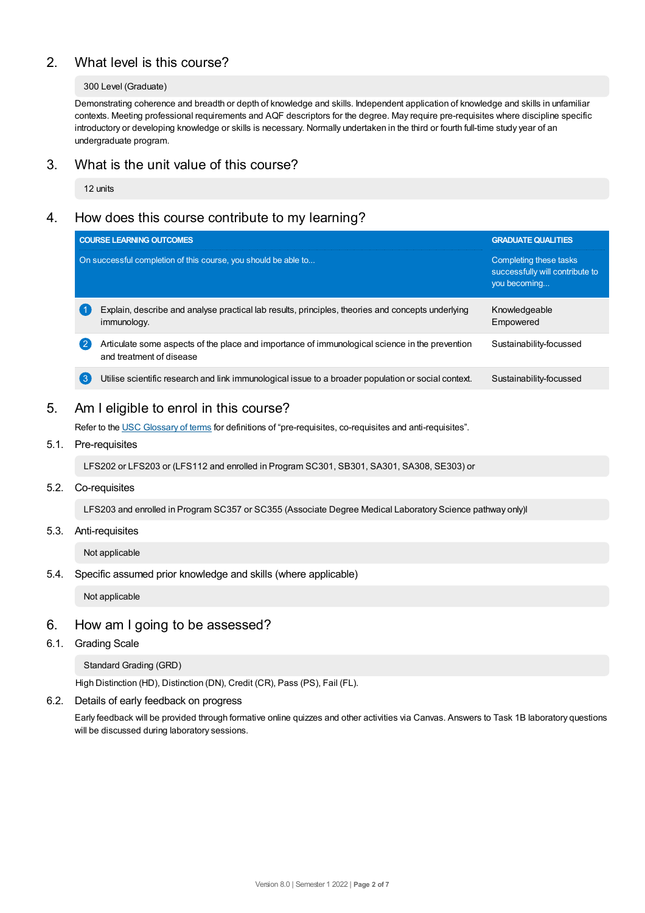# 2. What level is this course?

#### 300 Level (Graduate)

Demonstrating coherence and breadth or depth of knowledge and skills. Independent application of knowledge and skills in unfamiliar contexts. Meeting professional requirements and AQF descriptors for the degree. May require pre-requisites where discipline specific introductory or developing knowledge or skills is necessary. Normally undertaken in the third or fourth full-time study year of an undergraduate program.

# 3. What is the unit value of this course?

12 units

# 4. How does this course contribute to my learning?

|                  | <b>COURSE LEARNING OUTCOMES</b>                                                                                            | <b>GRADUATE QUALITIES</b>                                                 |  |  |
|------------------|----------------------------------------------------------------------------------------------------------------------------|---------------------------------------------------------------------------|--|--|
|                  | On successful completion of this course, you should be able to                                                             | Completing these tasks<br>successfully will contribute to<br>you becoming |  |  |
|                  | Explain, describe and analyse practical lab results, principles, theories and concepts underlying<br>immunology.           | Knowledgeable<br>Empowered                                                |  |  |
| $\mathbf{2}$     | Articulate some aspects of the place and importance of immunological science in the prevention<br>and treatment of disease | Sustainability-focussed                                                   |  |  |
| $\left(3\right)$ | Utilise scientific research and link immunological issue to a broader population or social context.                        | Sustainability-focussed                                                   |  |  |

# 5. Am Ieligible to enrol in this course?

Refer to the USC [Glossary](https://www.usc.edu.au/about/policies-and-procedures/glossary-of-terms-for-policy-and-procedures) of terms for definitions of "pre-requisites, co-requisites and anti-requisites".

# 5.1. Pre-requisites

LFS202 or LFS203 or (LFS112 and enrolled in Program SC301, SB301, SA301, SA308, SE303) or

# 5.2. Co-requisites

LFS203 and enrolled in Program SC357 or SC355 (Associate Degree Medical Laboratory Science pathway only)l

# 5.3. Anti-requisites

Not applicable

## 5.4. Specific assumed prior knowledge and skills (where applicable)

Not applicable

# 6. How am Igoing to be assessed?

## 6.1. Grading Scale

## Standard Grading (GRD)

High Distinction (HD), Distinction (DN), Credit (CR), Pass (PS), Fail (FL).

## 6.2. Details of early feedback on progress

Early feedback will be provided through formative online quizzes and other activities via Canvas. Answers to Task 1B laboratory questions will be discussed during laboratory sessions.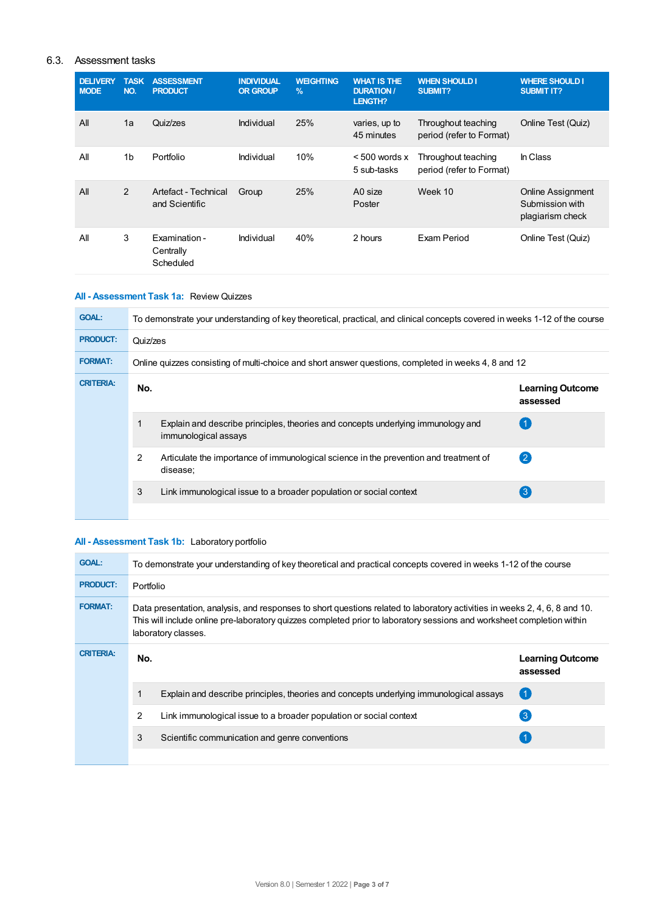# 6.3. Assessment tasks

| <b>DELIVERY</b><br><b>MODE</b> | <b>TASK</b><br>NO. | <b>ASSESSMENT</b><br><b>PRODUCT</b>     | <b>INDIVIDUAL</b><br><b>OR GROUP</b> | <b>WEIGHTING</b><br>$\frac{9}{6}$ | <b>WHAT IS THE</b><br><b>DURATION /</b><br><b>LENGTH?</b> | <b>WHEN SHOULD I</b><br><b>SUBMIT?</b>          | <b>WHERE SHOULD I</b><br><b>SUBMIT IT?</b>                      |
|--------------------------------|--------------------|-----------------------------------------|--------------------------------------|-----------------------------------|-----------------------------------------------------------|-------------------------------------------------|-----------------------------------------------------------------|
| All                            | 1a                 | Quiz/zes                                | Individual                           | 25%                               | varies, up to<br>45 minutes                               | Throughout teaching<br>period (refer to Format) | Online Test (Quiz)                                              |
| All                            | 1 <sub>b</sub>     | Portfolio                               | Individual                           | 10%                               | $< 500$ words x<br>5 sub-tasks                            | Throughout teaching<br>period (refer to Format) | In Class                                                        |
| All                            | 2                  | Artefact - Technical<br>and Scientific  | Group                                | 25%                               | A0 size<br>Poster                                         | Week 10                                         | <b>Online Assignment</b><br>Submission with<br>plagiarism check |
| All                            | 3                  | Examination -<br>Centrally<br>Scheduled | Individual                           | 40%                               | 2 hours                                                   | Exam Period                                     | Online Test (Quiz)                                              |

# **All - Assessment Task 1a:** Review Quizzes

| <b>GOAL:</b>     | To demonstrate your understanding of key theoretical, practical, and clinical concepts covered in weeks 1-12 of the course |                                                                                                          |                                     |  |  |  |
|------------------|----------------------------------------------------------------------------------------------------------------------------|----------------------------------------------------------------------------------------------------------|-------------------------------------|--|--|--|
| <b>PRODUCT:</b>  | Quiz/zes                                                                                                                   |                                                                                                          |                                     |  |  |  |
| <b>FORMAT:</b>   | Online quizzes consisting of multi-choice and short answer questions, completed in weeks 4, 8 and 12                       |                                                                                                          |                                     |  |  |  |
| <b>CRITERIA:</b> | No.                                                                                                                        |                                                                                                          | <b>Learning Outcome</b><br>assessed |  |  |  |
|                  |                                                                                                                            | Explain and describe principles, theories and concepts underlying immunology and<br>immunological assays |                                     |  |  |  |
|                  | 2                                                                                                                          | Articulate the importance of immunological science in the prevention and treatment of<br>disease:        | $\left( 2\right)$                   |  |  |  |
|                  | 3                                                                                                                          | Link immunological issue to a broader population or social context                                       | $\mathbf{3}$                        |  |  |  |

# **All - Assessment Task 1b:** Laboratory portfolio

| <b>GOAL:</b>     | To demonstrate your understanding of key theoretical and practical concepts covered in weeks 1-12 of the course                                                                                                                                                             |                                                                                        |                                     |  |  |  |  |
|------------------|-----------------------------------------------------------------------------------------------------------------------------------------------------------------------------------------------------------------------------------------------------------------------------|----------------------------------------------------------------------------------------|-------------------------------------|--|--|--|--|
| <b>PRODUCT:</b>  | Portfolio                                                                                                                                                                                                                                                                   |                                                                                        |                                     |  |  |  |  |
| <b>FORMAT:</b>   | Data presentation, analysis, and responses to short questions related to laboratory activities in weeks 2, 4, 6, 8 and 10.<br>This will include online pre-laboratory quizzes completed prior to laboratory sessions and worksheet completion within<br>laboratory classes. |                                                                                        |                                     |  |  |  |  |
| <b>CRITERIA:</b> | No.                                                                                                                                                                                                                                                                         |                                                                                        | <b>Learning Outcome</b><br>assessed |  |  |  |  |
|                  |                                                                                                                                                                                                                                                                             | Explain and describe principles, theories and concepts underlying immunological assays | O                                   |  |  |  |  |
|                  | $\mathcal{P}$                                                                                                                                                                                                                                                               | Link immunological issue to a broader population or social context                     | $\lceil 3 \rceil$                   |  |  |  |  |
|                  | 3                                                                                                                                                                                                                                                                           | Scientific communication and genre conventions                                         |                                     |  |  |  |  |
|                  |                                                                                                                                                                                                                                                                             |                                                                                        |                                     |  |  |  |  |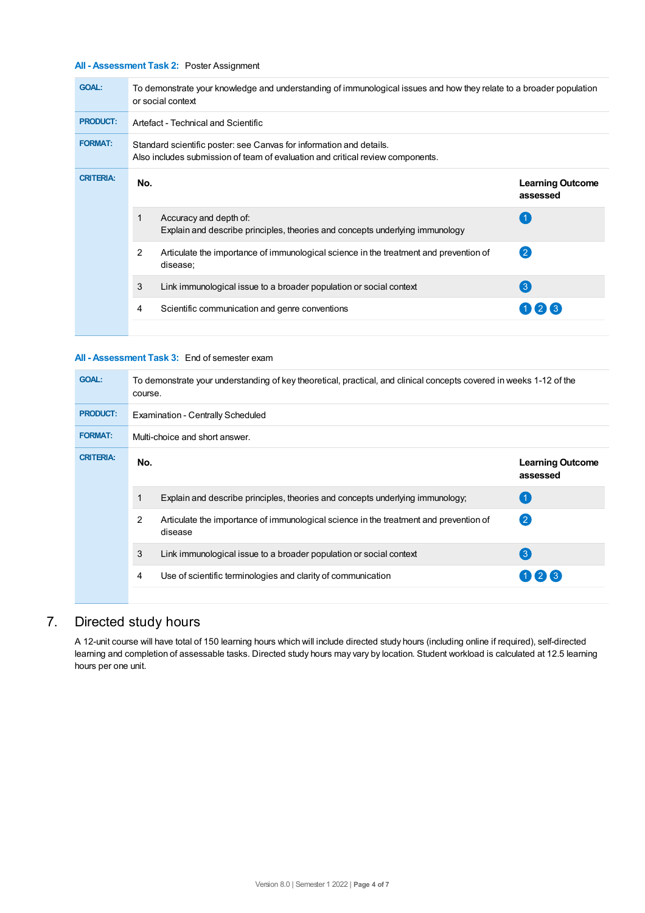# **All - Assessment Task 2:** Poster Assignment

| To demonstrate your knowledge and understanding of immunological issues and how they relate to a broader population<br>or social context |                                                                                                                                                       |                                     |  |  |  |
|------------------------------------------------------------------------------------------------------------------------------------------|-------------------------------------------------------------------------------------------------------------------------------------------------------|-------------------------------------|--|--|--|
|                                                                                                                                          | Artefact - Technical and Scientific                                                                                                                   |                                     |  |  |  |
|                                                                                                                                          | Standard scientific poster: see Canvas for information and details.<br>Also includes submission of team of evaluation and critical review components. |                                     |  |  |  |
| No.                                                                                                                                      |                                                                                                                                                       | <b>Learning Outcome</b><br>assessed |  |  |  |
|                                                                                                                                          | Accuracy and depth of:<br>Explain and describe principles, theories and concepts underlying immunology                                                |                                     |  |  |  |
| 2                                                                                                                                        | Articulate the importance of immunological science in the treatment and prevention of<br>disease:                                                     | (2)                                 |  |  |  |
| 3                                                                                                                                        | Link immunological issue to a broader population or social context                                                                                    | $\left(3\right)$                    |  |  |  |
| 4                                                                                                                                        | Scientific communication and genre conventions                                                                                                        | $1)$ (2) (3)                        |  |  |  |
|                                                                                                                                          |                                                                                                                                                       |                                     |  |  |  |

#### **All - Assessment Task 3:** End of semester exam

| <b>GOAL:</b>     | To demonstrate your understanding of key theoretical, practical, and clinical concepts covered in weeks 1-12 of the<br>course. |                                                                                                  |                                     |  |  |
|------------------|--------------------------------------------------------------------------------------------------------------------------------|--------------------------------------------------------------------------------------------------|-------------------------------------|--|--|
| <b>PRODUCT:</b>  | <b>Examination - Centrally Scheduled</b>                                                                                       |                                                                                                  |                                     |  |  |
| <b>FORMAT:</b>   | Multi-choice and short answer.                                                                                                 |                                                                                                  |                                     |  |  |
| <b>CRITERIA:</b> | No.                                                                                                                            |                                                                                                  | <b>Learning Outcome</b><br>assessed |  |  |
|                  | Explain and describe principles, theories and concepts underlying immunology;<br>1                                             |                                                                                                  | $\overline{1}$                      |  |  |
|                  | 2                                                                                                                              | Articulate the importance of immunological science in the treatment and prevention of<br>disease | $\mathbf{C}$                        |  |  |
|                  | 3                                                                                                                              | Link immunological issue to a broader population or social context                               | $\left( 3\right)$                   |  |  |
|                  | 4                                                                                                                              | Use of scientific terminologies and clarity of communication                                     | 123                                 |  |  |
|                  |                                                                                                                                |                                                                                                  |                                     |  |  |

# 7. Directed study hours

A 12-unit course will have total of 150 learning hours which will include directed study hours (including online if required), self-directed learning and completion of assessable tasks. Directed study hours may vary by location. Student workload is calculated at 12.5 learning hours per one unit.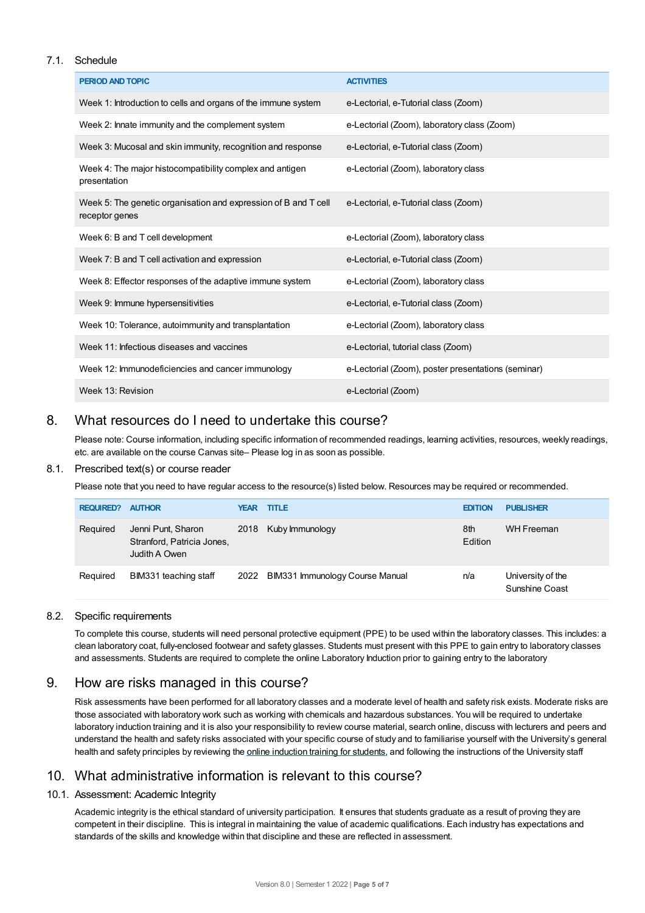## 7.1. Schedule

| PERIOD AND TOPIC                                                                  | <b>ACTIVITIES</b>                                  |
|-----------------------------------------------------------------------------------|----------------------------------------------------|
| Week 1: Introduction to cells and organs of the immune system                     | e-Lectorial, e-Tutorial class (Zoom)               |
| Week 2: Innate immunity and the complement system                                 | e-Lectorial (Zoom), laboratory class (Zoom)        |
| Week 3: Mucosal and skin immunity, recognition and response                       | e-Lectorial, e-Tutorial class (Zoom)               |
| Week 4: The major histocompatibility complex and antigen<br>presentation          | e-Lectorial (Zoom), laboratory class               |
| Week 5: The genetic organisation and expression of B and T cell<br>receptor genes | e-Lectorial, e-Tutorial class (Zoom)               |
| Week 6: B and T cell development                                                  | e-Lectorial (Zoom), laboratory class               |
| Week 7: B and T cell activation and expression                                    | e-Lectorial, e-Tutorial class (Zoom)               |
| Week 8: Effector responses of the adaptive immune system                          | e-Lectorial (Zoom), laboratory class               |
| Week 9: Immune hypersensitivities                                                 | e-Lectorial, e-Tutorial class (Zoom)               |
| Week 10: Tolerance, autoimmunity and transplantation                              | e-Lectorial (Zoom), laboratory class               |
| Week 11: Infectious diseases and vaccines                                         | e-Lectorial, tutorial class (Zoom)                 |
| Week 12: Immunodeficiencies and cancer immunology                                 | e-Lectorial (Zoom), poster presentations (seminar) |
| Week 13: Revision                                                                 | e-Lectorial (Zoom)                                 |

# 8. What resources do I need to undertake this course?

Please note: Course information, including specific information of recommended readings, learning activities, resources, weekly readings, etc. are available on the course Canvas site– Please log in as soon as possible.

#### 8.1. Prescribed text(s) or course reader

Please note that you need to have regular access to the resource(s) listed below. Resources may be required or recommended.

| <b>REQUIRED?</b> | <b>AUTHOR</b>                                                     | <b>YEAR</b> | <b>TITLE</b>                    | <b>EDITION</b> | <b>PUBLISHER</b>                    |
|------------------|-------------------------------------------------------------------|-------------|---------------------------------|----------------|-------------------------------------|
| Required         | Jenni Punt, Sharon<br>Stranford, Patricia Jones,<br>Judith A Owen |             | 2018 Kuby Immunology            | 8th<br>Edition | <b>WH Freeman</b>                   |
| Required         | BIM331 teaching staff                                             | 2022        | BIM331 Immunology Course Manual | n/a            | University of the<br>Sunshine Coast |

# 8.2. Specific requirements

To complete this course, students will need personal protective equipment (PPE) to be used within the laboratory classes. This includes: a clean laboratory coat, fully-enclosed footwear and safety glasses. Students must present with this PPE to gain entry to laboratory classes and assessments. Students are required to complete the online Laboratory Induction prior to gaining entry to the laboratory

# 9. How are risks managed in this course?

Risk assessments have been performed for all laboratory classes and a moderate level of health and safety risk exists. Moderate risks are those associated with laboratory work such as working with chemicals and hazardous substances. You will be required to undertake laboratory induction training and it is also your responsibility to review course material, search online, discuss with lecturers and peers and understand the health and safety risks associated with your specific course of study and to familiarise yourself with the University's general health and safety principles by reviewing the online [induction](https://online.usc.edu.au/webapps/blackboard/content/listContentEditable.jsp?content_id=_632657_1&course_id=_14432_1) training for students, and following the instructions of the University staff

# 10. What administrative information is relevant to this course?

# 10.1. Assessment: Academic Integrity

Academic integrity is the ethical standard of university participation. It ensures that students graduate as a result of proving they are competent in their discipline. This is integral in maintaining the value of academic qualifications. Each industry has expectations and standards of the skills and knowledge within that discipline and these are reflected in assessment.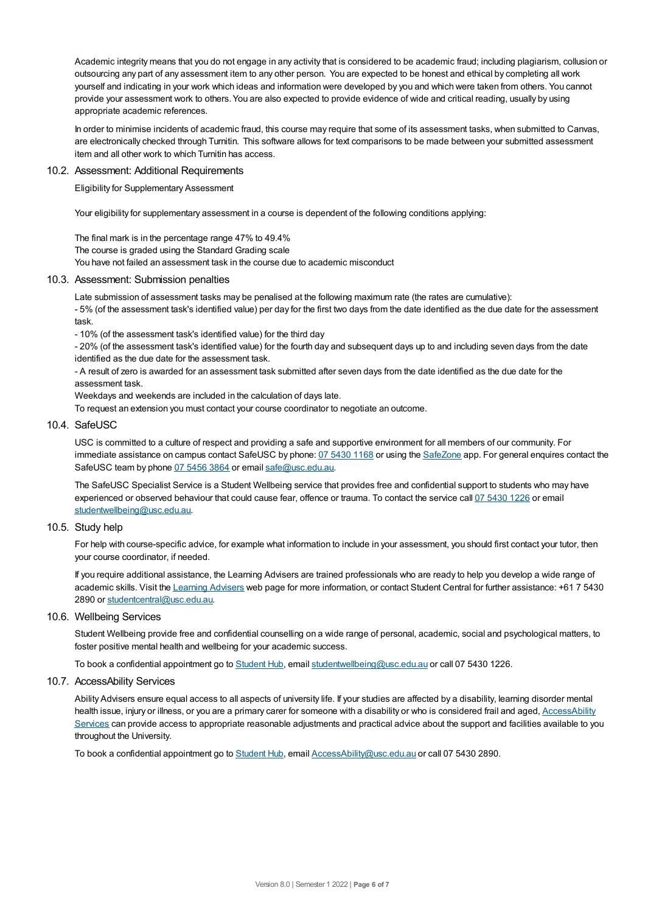Academic integrity means that you do not engage in any activity that is considered to be academic fraud; including plagiarism, collusion or outsourcing any part of any assessment item to any other person. You are expected to be honest and ethical by completing all work yourself and indicating in your work which ideas and information were developed by you and which were taken from others. You cannot provide your assessment work to others.You are also expected to provide evidence of wide and critical reading, usually by using appropriate academic references.

In order to minimise incidents of academic fraud, this course may require that some of its assessment tasks, when submitted to Canvas, are electronically checked through Turnitin. This software allows for text comparisons to be made between your submitted assessment item and all other work to which Turnitin has access.

#### 10.2. Assessment: Additional Requirements

Eligibility for Supplementary Assessment

Your eligibility for supplementary assessment in a course is dependent of the following conditions applying:

The final mark is in the percentage range 47% to 49.4%

The course is graded using the Standard Grading scale

You have not failed an assessment task in the course due to academic misconduct

#### 10.3. Assessment: Submission penalties

Late submission of assessment tasks may be penalised at the following maximum rate (the rates are cumulative):

- 5% (of the assessment task's identified value) per day for the first two days from the date identified as the due date for the assessment task.

- 10% (of the assessment task's identified value) for the third day

- 20% (of the assessment task's identified value) for the fourth day and subsequent days up to and including seven days from the date identified as the due date for the assessment task.

- A result of zero is awarded for an assessment task submitted after seven days from the date identified as the due date for the assessment task.

Weekdays and weekends are included in the calculation of days late.

To request an extension you must contact your course coordinator to negotiate an outcome.

#### 10.4. SafeUSC

USC is committed to a culture of respect and providing a safe and supportive environment for all members of our community. For immediate assistance on campus contact SafeUSC by phone: 07 [5430](tel:07%205430%201168) 1168 or using the [SafeZone](https://www.safezoneapp.com) app. For general enquires contact the SafeUSC team by phone 07 [5456](tel:07%205456%203864) 3864 or email [safe@usc.edu.au](mailto:safe@usc.edu.au).

The SafeUSC Specialist Service is a Student Wellbeing service that provides free and confidential support to students who may have experienced or observed behaviour that could cause fear, offence or trauma. To contact the service call 07 [5430](tel:07%205430%201226) 1226 or email [studentwellbeing@usc.edu.au](mailto:studentwellbeing@usc.edu.au).

## 10.5. Study help

For help with course-specific advice, for example what information to include in your assessment, you should first contact your tutor, then your course coordinator, if needed.

If you require additional assistance, the Learning Advisers are trained professionals who are ready to help you develop a wide range of academic skills. Visit the Learning [Advisers](https://www.usc.edu.au/current-students/student-support/academic-and-study-support/learning-advisers) web page for more information, or contact Student Central for further assistance: +61 7 5430 2890 or [studentcentral@usc.edu.au](mailto:studentcentral@usc.edu.au).

#### 10.6. Wellbeing Services

Student Wellbeing provide free and confidential counselling on a wide range of personal, academic, social and psychological matters, to foster positive mental health and wellbeing for your academic success.

To book a confidential appointment go to [Student](https://studenthub.usc.edu.au/) Hub, email [studentwellbeing@usc.edu.au](mailto:studentwellbeing@usc.edu.au) or call 07 5430 1226.

#### 10.7. AccessAbility Services

Ability Advisers ensure equal access to all aspects of university life. If your studies are affected by a disability, learning disorder mental health issue, injury or illness, or you are a primary carer for someone with a disability or who is considered frail and aged, [AccessAbility](https://www.usc.edu.au/learn/student-support/accessability-services/documentation-requirements) Services can provide access to appropriate reasonable adjustments and practical advice about the support and facilities available to you throughout the University.

To book a confidential appointment go to [Student](https://studenthub.usc.edu.au/) Hub, email [AccessAbility@usc.edu.au](mailto:AccessAbility@usc.edu.au) or call 07 5430 2890.